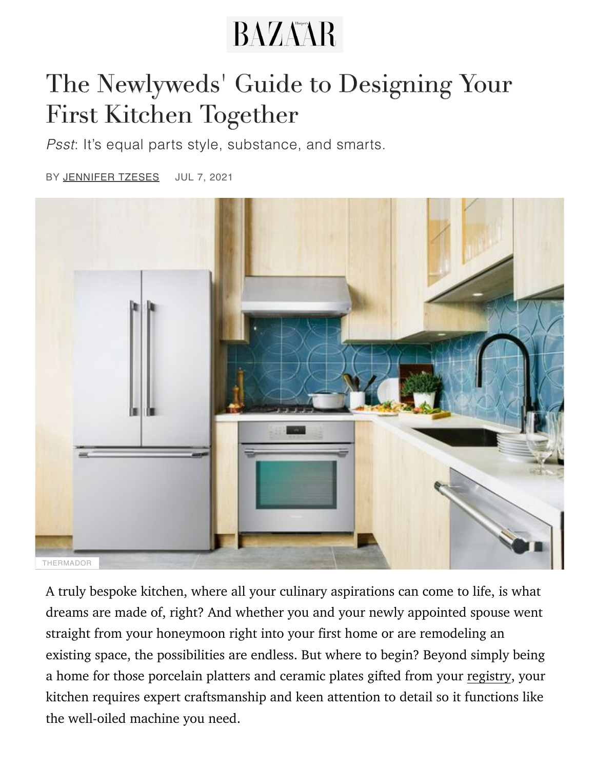# **BAZAAR**

### The Newlyweds' Guide to Designing Your First Kitchen Together

*Psst*: It's equal parts style, substance, and smarts.

BY [JENNIFER TZESES](https://www.harpersbazaar.com/author/204878/jennifer-tzeses/) JUL 7, 2021



A truly bespoke kitchen, where all your culinary aspirations can come to life, is what dreams are made of, right? And whether you and your newly appointed spouse went straight from your honeymoon right into your first home or are remodeling an existing space, the possibilities are endless. But where to begin? Beyond simply being a home for those porcelain platters and ceramic plates gifted from your [registry](https://www.harpersbazaar.com/wedding/planning/g33473157/best-wedding-registry-ideas/), your kitchen requires expert craftsmanship and keen attention to detail so it functions like the well-oiled machine you need.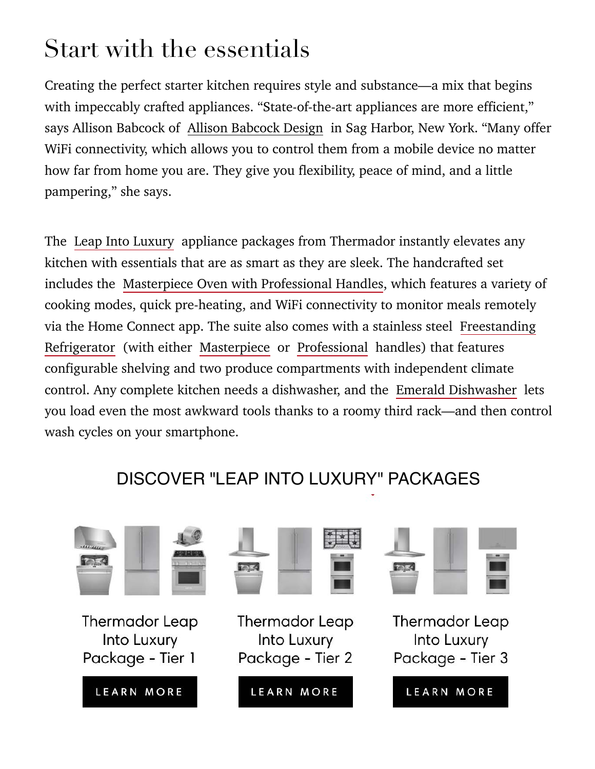# Start with the essentials

Creating the perfect starter kitchen requires style and substance—a mix that begins with impeccably crafted appliances. "State-of-the-art appliances are more efficient," says Allison Babcock of [Allison Babcock Design](https://allisonbabcockdesign.com/) in Sag Harbor, New York. "Many offer WiFi connectivity, which allows you to control them from a mobile device no matter how far from home you are. They give you flexibility, peace of mind, and a little pampering," she says.

[The Leap Into Luxury appliance packages from Thermador instantly elevates any](https://www.harpersbazaar.com/wedding/planning/g8758/fashion-wedding-registry/) kitchen with essentials that are as smart as they are sleek. The handcrafted set includes the [Masterpiece Oven with Professional Handles,](https://www.thermador.com/us/products/ovens/wall-ovens) which features a variety of cooking modes, quick pre-heating, and WiFi connectivity to monitor meals remotely via the Home Connect app. The suite also comes with a stainless steel Freestanding Refrigerator (with either [Masterpiece](https://www.thermador.com/us/products-list/refrigeration/bottom-freezer-refrigerators/T36FT810NS?cid=LeapIntoLuxury~disp~1221~cpm~pub~Hearst~Awareness~nati~) or [Professional](https://www.thermador.com/us/products-list/refrigeration/bottom-freezer-refrigerators/T36FT820NS?cid=LeapIntoLuxury~disp~1221~cpm~pub~Hearst~Awareness~nati~) handles) that features configurable shelving and two produce compartments with independent climate control. Any complete kitchen needs a dishwasher, and the [Emerald Dishwasher](https://www.thermador.com/us/search?search=emerald&cid=LeapIntoLuxury~disp~1221~cpm~pub~Hearst~Awareness~trac~1-1~) lets [you load even the most awkward tools thanks to a roomy third rack—and then contr](https://www.thermador.com/us/search?codes=T36FT820NS&codes=T36FT810NS&cid=LeapIntoLuxury~disp~1221~cpm~pub~Hearst~Awareness~trac~1-1~)ol wash cycles on your smartphone.

#### DISCOVER "LEAP INTO LUXURY" PACKAGES

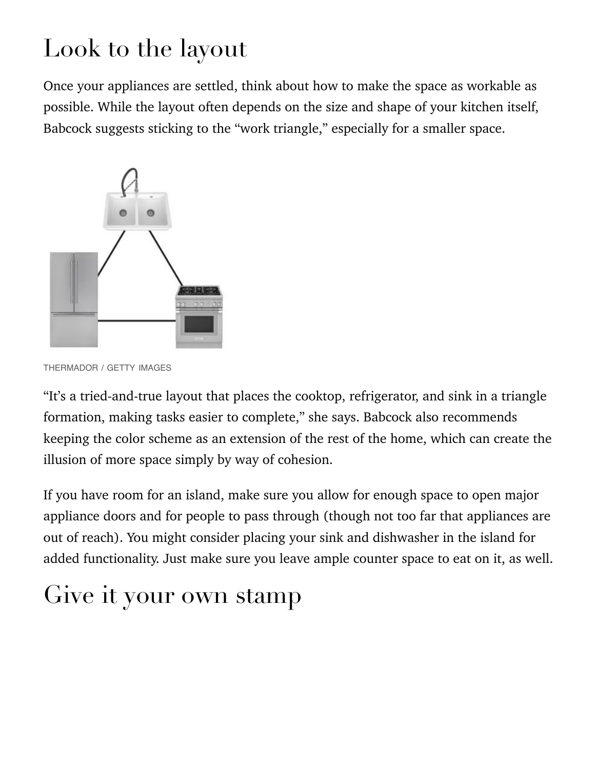# [Look to t](https://www.thermador.com/us/experience/leap-into-luxury#anc-10430485?cid=LeapIntoLuxury~disp~1221~cpm~pub~Hearst~Awareness~trac~1-1~)he layout

Once your appliances are settled, think about how to [make the space as workable as](https://www.thermador.com/us/experience/leap-into-luxury#anc-10430485?cid=LeapIntoLuxury~disp~1221~cpm~pub~Hearst~Awareness~trac~1-1~) possible. While the layout often depends on the size and shape of your kitchen itself, Babcock suggests sticking to the "work triangle," especially for a smaller space.



THERMADOR / GETTY IMAGES

"It's a tried-and-true layout that places the cooktop, refrigerator, and sink in a triangle formation, making tasks easier to complete," she says. Babcock also recommends keeping the color scheme as an extension of the rest of the home, which can create the illusion of more space simply by way of cohesion.

If you have room for an island, make sure you allow for enough space to open major appliance doors and for people to pass through (though not too far that appliances are out of reach). You might consider placing your sink and dishwasher in the island for added functionality. Just make sure you leave ample counter space to eat on it, as well.

### Give it your own stamp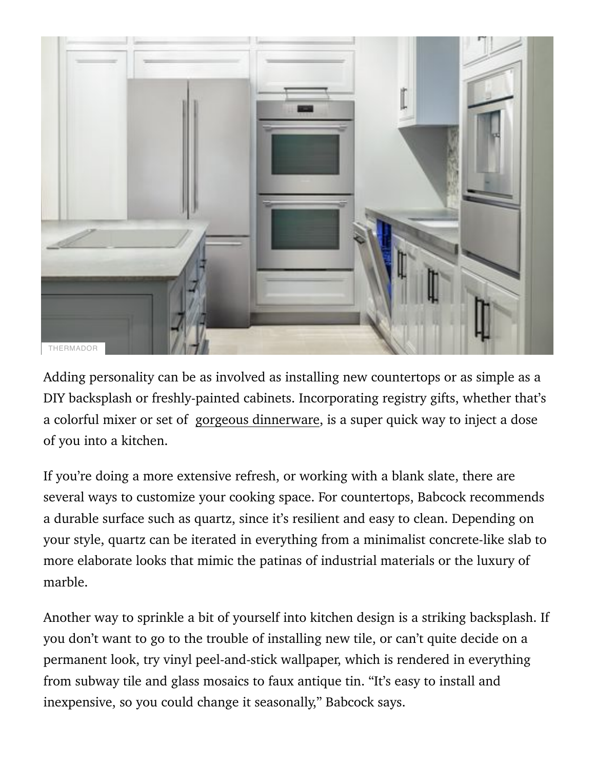

Adding personality can be as involved as installing new countertops or as simple as a DIY backsplash or freshly-painted cabinets. Incorporating registry gifts, whether that's a colorful mixer or set of [gorgeous dinnerware,](https://www.harpersbazaar.com/culture/travel-dining/a36448412/misette-housewares-launch-interview/) is a super quick way to inject a dose of you into a kitchen.

If you're doing a more extensive refresh, or working with a blank slate, there are several ways to customize your cooking space. For countertops, Babcock recommends a durable surface such as quartz, since it's resilient and easy to clean. Depending on your style, quartz can be iterated in everything from a minimalist concrete-like slab to more elaborate looks that mimic the patinas of industrial materials or the luxury of marble.

Another way to sprinkle a bit of yourself into kitchen design is a striking backsplash. If you don't want to go to the trouble of installing new tile, or can't quite decide on a permanent look, try vinyl peel-and-stick wallpaper, which is rendered in everything from subway tile and glass mosaics to faux antique tin. "It's easy to install and inexpensive, so you could change it seasonally," Babcock says.